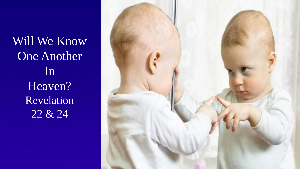Will We Know One Another In Heaven? Revelation 22 & 24

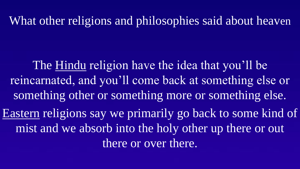What other religions and philosophies said about heaven

The Hindu religion have the idea that you'll be reincarnated, and you'll come back at something else or something other or something more or something else.

Eastern religions say we primarily go back to some kind of mist and we absorb into the holy other up there or out there or over there.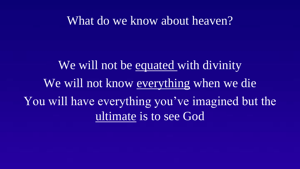#### What do we know about heaven?

We will not be equated with divinity We will not know everything when we die You will have everything you've imagined but the ultimate is to see God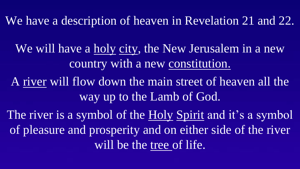We will have a holy city, the New Jerusalem in a new country with a new constitution.

A river will flow down the main street of heaven all the way up to the Lamb of God.

The river is a symbol of the Holy Spirit and it's a symbol of pleasure and prosperity and on either side of the river will be the tree of life.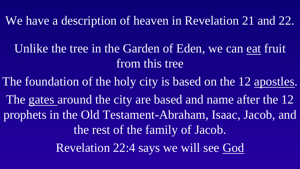Unlike the tree in the Garden of Eden, we can eat fruit from this tree

The foundation of the holy city is based on the 12 apostles.

The gates around the city are based and name after the 12 prophets in the Old Testament-Abraham, Isaac, Jacob, and the rest of the family of Jacob.

Revelation 22:4 says we will see God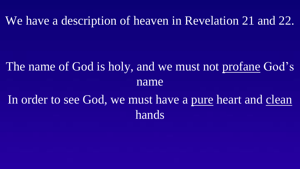# The name of God is holy, and we must not profane God's name In order to see God, we must have a pure heart and clean

hands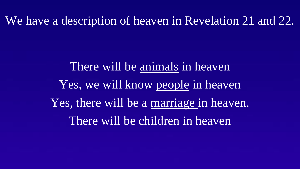There will be animals in heaven Yes, we will know people in heaven Yes, there will be a marriage in heaven. There will be children in heaven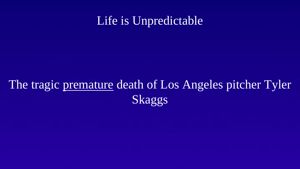## Life is Unpredictable

## The tragic premature death of Los Angeles pitcher Tyler Skaggs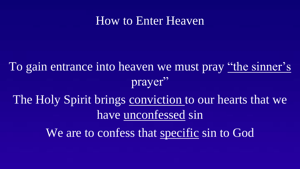### How to Enter Heaven

To gain entrance into heaven we must pray "the sinner's prayer" The Holy Spirit brings conviction to our hearts that we have unconfessed sin

We are to confess that specific sin to God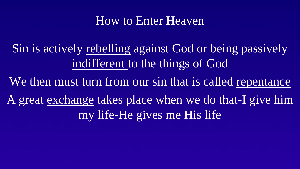### How to Enter Heaven

Sin is actively rebelling against God or being passively indifferent to the things of God

We then must turn from our sin that is called repentance

A great exchange takes place when we do that-I give him my life-He gives me His life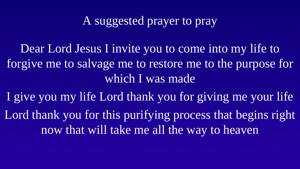### A suggested prayer to pray

Dear Lord Jesus I invite you to come into my life to forgive me to salvage me to restore me to the purpose for which I was made

I give you my life Lord thank you for giving me your life Lord thank you for this purifying process that begins right

now that will take me all the way to heaven